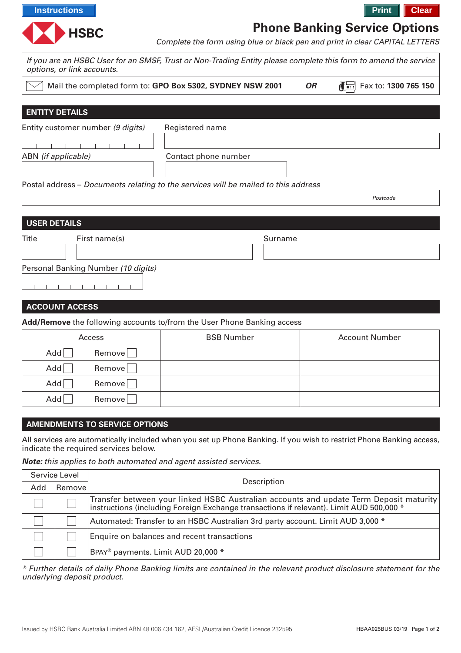



# **Phone Banking Service Options**

Complete the form using blue or black pen and print in clear CAPITAL LETTERS

| options, or link accounts.        | If you are an HSBC User for an SMSF, Trust or Non-Trading Entity please complete this form to amend the service |
|-----------------------------------|-----------------------------------------------------------------------------------------------------------------|
|                                   | Fax to: 1300 765 150<br>Mail the completed form to: GPO Box 5302, SYDNEY NSW 2001<br><b>OR</b><br>d'ed          |
| <b>ENTITY DETAILS</b>             |                                                                                                                 |
| Entity customer number (9 digits) | Registered name                                                                                                 |
| ABN (if applicable)               | Contact phone number                                                                                            |
|                                   | Postal address - Documents relating to the services will be mailed to this address<br>Postcode                  |
| <b>USER DETAILS</b>               |                                                                                                                 |
| Title<br>First name(s)            | Surname                                                                                                         |

Personal Banking Number (10 digits)  $-1$   $-1$   $-1$  $\blacksquare$  $\overline{\phantom{0}}$ 

## **ACCOUNT ACCESS**

### **Add/Remove** the following accounts to/from the User Phone Banking access

| Access        | <b>BSB Number</b> | <b>Account Number</b> |
|---------------|-------------------|-----------------------|
| Add<br>Remove |                   |                       |
| Add<br>Remove |                   |                       |
| Add<br>Remove |                   |                       |
| Add<br>Remove |                   |                       |

## **AMENDMENTS TO SERVICE OPTIONS**

All services are automatically included when you set up Phone Banking. If you wish to restrict Phone Banking access, indicate the required services below.

**Note:** this applies to both automated and agent assisted services.

| Service Level |         |                                                                                                                                                                                   |  |
|---------------|---------|-----------------------------------------------------------------------------------------------------------------------------------------------------------------------------------|--|
| Add           | Removel | Description                                                                                                                                                                       |  |
|               |         | Transfer between your linked HSBC Australian accounts and update Term Deposit maturity<br>instructions (including Foreign Exchange transactions if relevant). Limit AUD 500,000 * |  |
|               |         | Automated: Transfer to an HSBC Australian 3rd party account. Limit AUD 3,000 *                                                                                                    |  |
|               |         | Enquire on balances and recent transactions                                                                                                                                       |  |
|               |         | BPAY <sup>®</sup> payments. Limit AUD 20,000 *                                                                                                                                    |  |

\* Further details of daily Phone Banking limits are contained in the relevant product disclosure statement for the underlying deposit product.